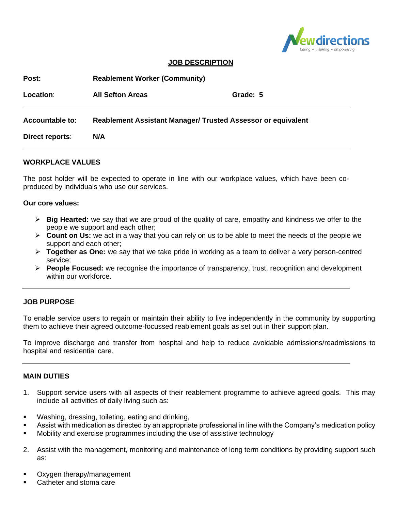

### **JOB DESCRIPTION**

| Post:                  | <b>Reablement Worker (Community)</b>                                |          |
|------------------------|---------------------------------------------------------------------|----------|
| Location:              | <b>All Sefton Areas</b>                                             | Grade: 5 |
| <b>Accountable to:</b> | <b>Reablement Assistant Manager/ Trusted Assessor or equivalent</b> |          |
| Direct reports:        | N/A                                                                 |          |

### **WORKPLACE VALUES**

The post holder will be expected to operate in line with our workplace values, which have been coproduced by individuals who use our services.

#### **Our core values:**

- ➢ **Big Hearted:** we say that we are proud of the quality of care, empathy and kindness we offer to the people we support and each other;
- ➢ **Count on Us:** we act in a way that you can rely on us to be able to meet the needs of the people we support and each other;
- ➢ **Together as One:** we say that we take pride in working as a team to deliver a very person-centred service;
- ➢ **People Focused:** we recognise the importance of transparency, trust, recognition and development within our workforce.

#### **JOB PURPOSE**

To enable service users to regain or maintain their ability to live independently in the community by supporting them to achieve their agreed outcome-focussed reablement goals as set out in their support plan.

To improve discharge and transfer from hospital and help to reduce avoidable admissions/readmissions to hospital and residential care.

#### **MAIN DUTIES**

- 1. Support service users with all aspects of their reablement programme to achieve agreed goals. This may include all activities of daily living such as:
- Washing, dressing, toileting, eating and drinking,
- Assist with medication as directed by an appropriate professional in line with the Company's medication policy
- Mobility and exercise programmes including the use of assistive technology
- 2. Assist with the management, monitoring and maintenance of long term conditions by providing support such as:
- Oxygen therapy/management
- Catheter and stoma care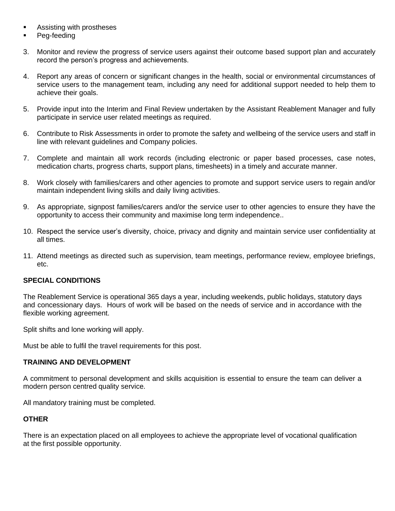- Assisting with prostheses
- Peg-feeding
- 3. Monitor and review the progress of service users against their outcome based support plan and accurately record the person's progress and achievements.
- 4. Report any areas of concern or significant changes in the health, social or environmental circumstances of service users to the management team, including any need for additional support needed to help them to achieve their goals.
- 5. Provide input into the Interim and Final Review undertaken by the Assistant Reablement Manager and fully participate in service user related meetings as required.
- 6. Contribute to Risk Assessments in order to promote the safety and wellbeing of the service users and staff in line with relevant guidelines and Company policies.
- 7. Complete and maintain all work records (including electronic or paper based processes, case notes, medication charts, progress charts, support plans, timesheets) in a timely and accurate manner.
- 8. Work closely with families/carers and other agencies to promote and support service users to regain and/or maintain independent living skills and daily living activities.
- 9. As appropriate, signpost families/carers and/or the service user to other agencies to ensure they have the opportunity to access their community and maximise long term independence..
- 10. Respect the service user's diversity, choice, privacy and dignity and maintain service user confidentiality at all times.
- 11. Attend meetings as directed such as supervision, team meetings, performance review, employee briefings, etc.

# **SPECIAL CONDITIONS**

The Reablement Service is operational 365 days a year, including weekends, public holidays, statutory days and concessionary days. Hours of work will be based on the needs of service and in accordance with the flexible working agreement.

Split shifts and lone working will apply.

Must be able to fulfil the travel requirements for this post.

# **TRAINING AND DEVELOPMENT**

A commitment to personal development and skills acquisition is essential to ensure the team can deliver a modern person centred quality service.

All mandatory training must be completed.

# **OTHER**

There is an expectation placed on all employees to achieve the appropriate level of vocational qualification at the first possible opportunity.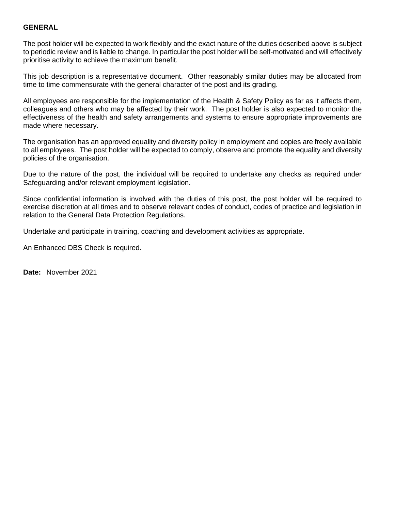### **GENERAL**

The post holder will be expected to work flexibly and the exact nature of the duties described above is subject to periodic review and is liable to change. In particular the post holder will be self-motivated and will effectively prioritise activity to achieve the maximum benefit.

This job description is a representative document. Other reasonably similar duties may be allocated from time to time commensurate with the general character of the post and its grading.

All employees are responsible for the implementation of the Health & Safety Policy as far as it affects them, colleagues and others who may be affected by their work. The post holder is also expected to monitor the effectiveness of the health and safety arrangements and systems to ensure appropriate improvements are made where necessary.

The organisation has an approved equality and diversity policy in employment and copies are freely available to all employees. The post holder will be expected to comply, observe and promote the equality and diversity policies of the organisation.

Due to the nature of the post, the individual will be required to undertake any checks as required under Safeguarding and/or relevant employment legislation.

Since confidential information is involved with the duties of this post, the post holder will be required to exercise discretion at all times and to observe relevant codes of conduct, codes of practice and legislation in relation to the General Data Protection Regulations.

Undertake and participate in training, coaching and development activities as appropriate.

An Enhanced DBS Check is required.

**Date:** November 2021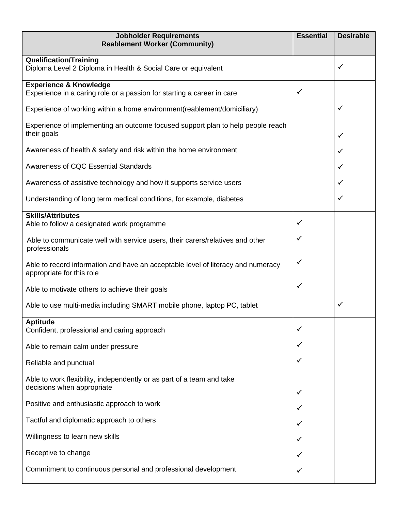| <b>Jobholder Requirements</b><br><b>Reablement Worker (Community)</b>                                         | <b>Essential</b> | <b>Desirable</b> |
|---------------------------------------------------------------------------------------------------------------|------------------|------------------|
| <b>Qualification/Training</b><br>Diploma Level 2 Diploma in Health & Social Care or equivalent                |                  | ✓                |
| <b>Experience &amp; Knowledge</b><br>Experience in a caring role or a passion for starting a career in care   | ✓                |                  |
| Experience of working within a home environment (reablement/domiciliary)                                      |                  | ✓                |
| Experience of implementing an outcome focused support plan to help people reach<br>their goals                |                  | ✓                |
| Awareness of health & safety and risk within the home environment                                             |                  | ✓                |
| Awareness of CQC Essential Standards                                                                          |                  | ✓                |
| Awareness of assistive technology and how it supports service users                                           |                  | ✓                |
| Understanding of long term medical conditions, for example, diabetes                                          |                  | ✓                |
| <b>Skills/Attributes</b><br>Able to follow a designated work programme                                        | ✓                |                  |
| Able to communicate well with service users, their carers/relatives and other<br>professionals                | ✓                |                  |
| Able to record information and have an acceptable level of literacy and numeracy<br>appropriate for this role |                  |                  |
| Able to motivate others to achieve their goals                                                                |                  |                  |
| Able to use multi-media including SMART mobile phone, laptop PC, tablet                                       |                  | $\checkmark$     |
| <b>Aptitude</b><br>Confident, professional and caring approach                                                |                  |                  |
| Able to remain calm under pressure                                                                            |                  |                  |
| Reliable and punctual                                                                                         |                  |                  |
| Able to work flexibility, independently or as part of a team and take<br>decisions when appropriate           |                  |                  |
| Positive and enthusiastic approach to work                                                                    |                  |                  |
| Tactful and diplomatic approach to others                                                                     |                  |                  |
| Willingness to learn new skills                                                                               |                  |                  |
| Receptive to change                                                                                           |                  |                  |
| Commitment to continuous personal and professional development                                                |                  |                  |